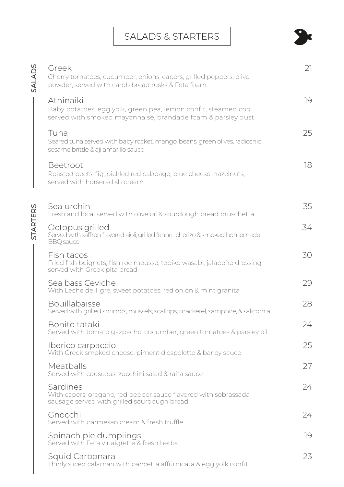## SALADS & STARTERS

| SALADS          | Greek<br>Cherry tomatoes, cucumber, onions, capers, grilled peppers, olive<br>powder, served with carob bread rusks & Feta foam           | 21 |
|-----------------|-------------------------------------------------------------------------------------------------------------------------------------------|----|
|                 | Athinaiki<br>Baby potatoes, egg yolk, green pea, lemon confit, steamed cod<br>served with smoked mayonnaise, brandade foam & parsley dust | 19 |
|                 | Tuna<br>Seared tuna served with baby rocket, mango, beans, green olives, radicchio,<br>sesame brittle & aji amarillo sauce                | 25 |
|                 | Beetroot<br>Roasted beets, fig, pickled red cabbage, blue cheese, hazelnuts,<br>served with horseradish cream                             | 18 |
| <b>STARTERS</b> | Sea urchin<br>Fresh and local served with olive oil & sourdough bread bruschetta                                                          | 35 |
|                 | Octopus grilled<br>Served with saffron flavored aioli, grilled fennel, chorizo & smoked homemade<br><b>BBQ</b> sauce                      | 34 |
|                 | Fish tacos<br>Fried fish beignets, fish roe mousse, tobiko wasabi, jalapeño dressing<br>served with Greek pita bread                      | 30 |
|                 | Sea bass Ceviche<br>With Leche de Tigre, sweet potatoes, red onion & mint granita                                                         | 29 |
|                 | <b>Bouillabaisse</b><br>Served with grilled shrimps, mussels, scallops, mackerel, samphire, & salicornia                                  | 28 |
|                 | Bonito tataki<br>Served with tomato gazpacho, cucumber, green tomatoes & parsley oil                                                      | 24 |
|                 | Iberico carpaccio<br>With Greek smoked cheese, piment d'espelette & barley sauce                                                          | 25 |
|                 | Meatballs<br>Served with couscous, zucchini salad & raita sauce                                                                           | 27 |
|                 | Sardines<br>With capers, oregano, red pepper sauce flavored with sobrassada<br>sausage served with grilled sourdough bread                | 24 |
|                 | Gnocchi<br>Served with parmesan cream & fresh truffle                                                                                     | 24 |
|                 | Spinach pie dumplings<br>Served with Feta vinaigrette & fresh herbs                                                                       | 19 |
|                 | Squid Carbonara<br>Thinly sliced calamari with pancetta affumicata & egg yolk confit                                                      | 23 |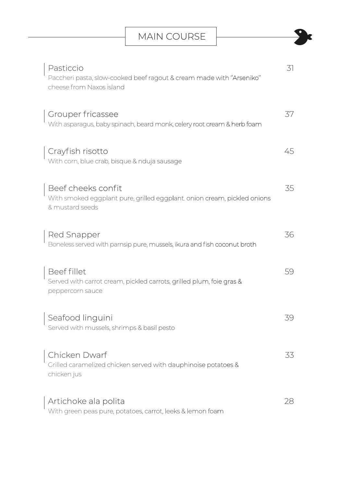| Pasticcio<br>Paccheri pasta, slow-cooked beef ragout & cream made with "Arseniko"<br>cheese from Naxos island     | 31 |
|-------------------------------------------------------------------------------------------------------------------|----|
| Grouper fricassee<br>With asparagus, baby spinach, beard monk, celery root cream & herb foam                      | 37 |
| Crayfish risotto<br>With corn, blue crab, bisque & nduja sausage                                                  | 45 |
| Beef cheeks confit<br>With smoked eggplant pure, grilled eggplant. onion cream, pickled onions<br>& mustard seeds | 35 |
| Red Snapper<br>Boneless served with parnsip pure, mussels, ikura and fish coconut broth                           | 36 |
| <b>Beef fillet</b><br>Served with carrot cream, pickled carrots, grilled plum, foie gras &<br>peppercorn sauce    | 59 |
| Seafood linguini<br>Served with mussels, shrimps & basil pesto                                                    | 39 |
| Chicken Dwarf<br>Grilled caramelized chicken served with dauphinoise potatoes &<br>chicken jus                    | 33 |
| Artichoke ala polita<br>With green peas pure, potatoes, carrot, leeks & lemon foam                                | 28 |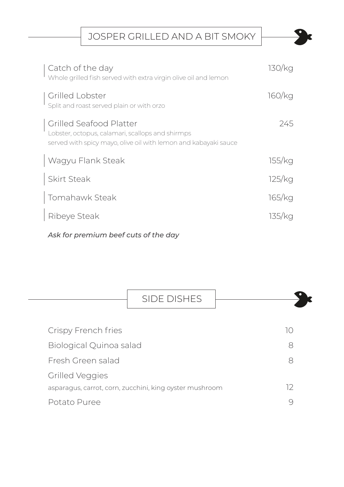JOSPER GRILLED AND A BIT SMOKY

| Catch of the day<br>Whole grilled fish served with extra virgin olive oil and lemon                                                                   | 130/ka |
|-------------------------------------------------------------------------------------------------------------------------------------------------------|--------|
| Grilled Lobster<br>Split and roast served plain or with orzo                                                                                          | 160/ka |
| <b>Grilled Seafood Platter</b><br>Lobster, octopus, calamari, scallops and shirmps<br>served with spicy mayo, olive oil with lemon and kabayaki sauce | 245    |
| Wagyu Flank Steak                                                                                                                                     | 155/kg |
| <b>Skirt Steak</b>                                                                                                                                    | 125/kq |
| Tomahawk Steak                                                                                                                                        | 165/kg |
| Ribeye Steak                                                                                                                                          | 135/ka |

*Ask for premium beef cuts of the day*

|                         | <b>SIDE DISHES</b>                                      |    |  |
|-------------------------|---------------------------------------------------------|----|--|
| Crispy French fries     |                                                         | 10 |  |
| Biological Quinoa salad |                                                         | 8  |  |
| Fresh Green salad       |                                                         | 8  |  |
| <b>Grilled Veggies</b>  |                                                         |    |  |
|                         | asparagus, carrot, corn, zucchini, king oyster mushroom | 12 |  |
| Potato Puree            |                                                         |    |  |